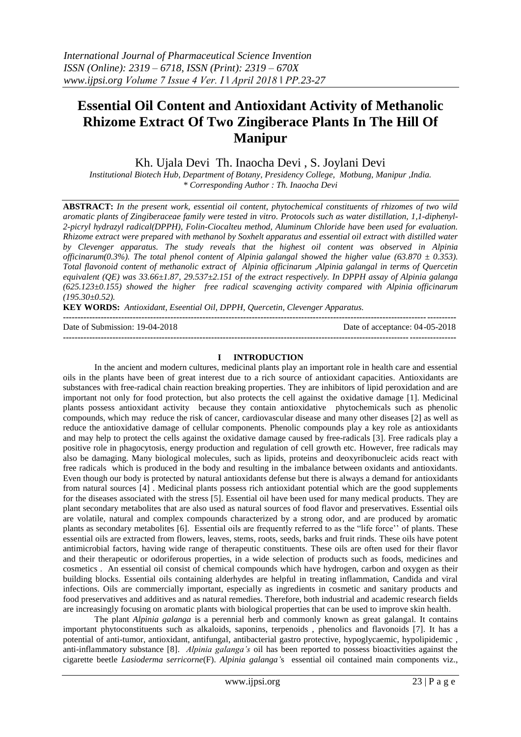# **Essential Oil Content and Antioxidant Activity of Methanolic Rhizome Extract Of Two Zingiberace Plants In The Hill Of Manipur**

Kh. Ujala Devi Th. Inaocha Devi , S. Joylani Devi

*Institutional Biotech Hub, Department of Botany, Presidency College, Motbung, Manipur ,India. \* Corresponding Author : Th. Inaocha Devi*

**ABSTRACT:** *In the present work, essential oil content, phytochemical constituents of rhizomes of two wild aromatic plants of Zingiberaceae family were tested in vitro. Protocols such as water distillation, 1,1-diphenyl-2-picryl hydrazyl radical(DPPH), Folin-Ciocalteu method, Aluminum Chloride have been used for evaluation. Rhizome extract were prepared with methanol by Soxhelt apparatus and essential oil extract with distilled water by Clevenger apparatus. The study reveals that the highest oil content was observed in Alpinia officinarum(0.3%). The total phenol content of Alpinia galangal showed the higher value (63.870 ± 0.353). Total flavonoid content of methanolic extract of Alpinia officinarum ,Alpinia galangal in terms of Quercetin equivalent (QE) was 33.66±1.87, 29.537±2.151 of the extract respectively. In DPPH assay of Alpinia galanga (625.123±0.155) showed the higher free radical scavenging activity compared with Alpinia officinarum (195.30±0.52).*

**KEY WORDS:** *Antioxidant, Eseential Oil, DPPH, Quercetin, Clevenger Apparatus.*

**---------------------------------------------------------------------------------------------------------------------------------------**

Date of Submission: 19-04-2018 Date of acceptance: 04-05-2018

#### **I INTRODUCTION**

**---------------------------------------------------------------------------------------------------------------------------------------**

In the ancient and modern cultures, medicinal plants play an important role in health care and essential oils in the plants have been of great interest due to a rich source of antioxidant capacities. Antioxidants are substances with free-radical chain reaction breaking properties. They are inhibitors of lipid peroxidation and are important not only for food protection, but also protects the cell against the oxidative damage [1]. Medicinal plants possess antioxidant activity because they contain antioxidative phytochemicals such as phenolic compounds, which may reduce the risk of cancer, cardiovascular disease and many other diseases [2] as well as reduce the antioxidative damage of cellular components. Phenolic compounds play a key role as antioxidants and may help to protect the cells against the oxidative damage caused by free-radicals [3]. Free radicals play a positive role in phagocytosis, energy production and regulation of cell growth etc. However, free radicals may also be damaging. Many biological molecules, such as lipids, proteins and deoxyribonucleic acids react with free radicals which is produced in the body and resulting in the imbalance between oxidants and antioxidants. Even though our body is protected by natural antioxidants defense but there is always a demand for antioxidants from natural sources [4] . Medicinal plants possess rich antioxidant potential which are the good supplements for the diseases associated with the stress [5]. Essential oil have been used for many medical products. They are plant secondary metabolites that are also used as natural sources of food flavor and preservatives. Essential oils are volatile, natural and complex compounds characterized by a strong odor, and are produced by aromatic plants as secondary metabolites [6]. Essential oils are frequently referred to as the "life force'' of plants. These essential oils are extracted from flowers, leaves, stems, roots, seeds, barks and fruit rinds. These oils have potent antimicrobial factors, having wide range of therapeutic constituents. These oils are often used for their flavor and their therapeutic or odoriferous properties, in a wide selection of products such as foods, medicines and cosmetics . An essential oil consist of chemical compounds which have hydrogen, carbon and oxygen as their building blocks. Essential oils containing alderhydes are helpful in treating inflammation, Candida and viral infections. Oils are commercially important, especially as ingredients in cosmetic and sanitary products and food preservatives and additives and as natural remedies. Therefore, both industrial and academic research fields are increasingly focusing on aromatic plants with biological properties that can be used to improve skin health.

The plant *Alpinia galanga* is a perennial herb and commonly known as great galangal. It contains important phytoconstituents such as alkaloids, saponins, terpenoids , phenolics and flavonoids [7]. It has a potential of anti-tumor, antioxidant, antifungal, antibacterial gastro protective, hypoglycaemic, hypolipidemic , anti-inflammatory substance [8]. *Alpinia galanga's* oil has been reported to possess bioactivities against the cigarette beetle *Lasioderma serricorne*(F). *Alpinia galanga'*s essential oil contained main components viz.,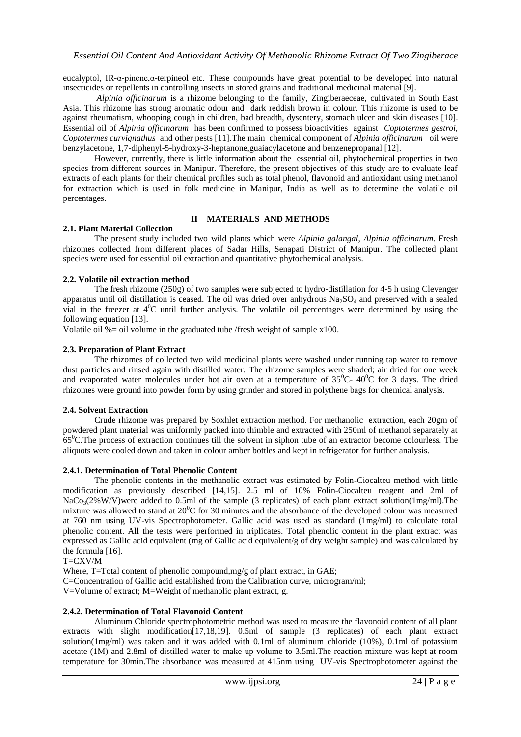eucalyptol, IR-α-pinene,α-terpineol etc. These compounds have great potential to be developed into natural insecticides or repellents in controlling insects in stored grains and traditional medicinal material [9].

*Alpinia officinarum* is a rhizome belonging to the family, Zingiberaeceae, cultivated in South East Asia. This rhizome has strong aromatic odour and dark reddish brown in colour. This rhizome is used to be against rheumatism, whooping cough in children, bad breadth, dysentery, stomach ulcer and skin diseases [10]. Essential oil of *Alpinia officinarum* has been confirmed to possess bioactivities against *Coptotermes gestroi, Coptotermes curvignathus* and other pests [11].The main chemical component of *Alpinia officinarum* oil were benzylacetone, 1,7-diphenyl-5-hydroxy-3-heptanone,guaiacylacetone and benzenepropanal [12].

However, currently, there is little information about the essential oil, phytochemical properties in two species from different sources in Manipur. Therefore, the present objectives of this study are to evaluate leaf extracts of each plants for their chemical profiles such as total phenol, flavonoid and antioxidant using methanol for extraction which is used in folk medicine in Manipur, India as well as to determine the volatile oil percentages.

#### **II MATERIALS AND METHODS**

#### **2.1. Plant Material Collection**

The present study included two wild plants which were *Alpinia galangal, Alpinia officinarum*. Fresh rhizomes collected from different places of Sadar Hills, Senapati District of Manipur. The collected plant species were used for essential oil extraction and quantitative phytochemical analysis.

#### **2.2. Volatile oil extraction method**

The fresh rhizome (250g) of two samples were subjected to hydro-distillation for 4-5 h using Clevenger apparatus until oil distillation is ceased. The oil was dried over anhydrous  $Na<sub>2</sub>SO<sub>4</sub>$  and preserved with a sealed vial in the freezer at  $4^{\circ}$ C until further analysis. The volatile oil percentages were determined by using the following equation [13].

Volatile oil  $% =$  oil volume in the graduated tube /fresh weight of sample x100.

#### **2.3. Preparation of Plant Extract**

The rhizomes of collected two wild medicinal plants were washed under running tap water to remove dust particles and rinsed again with distilled water. The rhizome samples were shaded; air dried for one week and evaporated water molecules under hot air oven at a temperature of  $35^{\circ}$ C-  $40^{\circ}$ C for 3 days. The dried rhizomes were ground into powder form by using grinder and stored in polythene bags for chemical analysis.

## **2.4. Solvent Extraction**

Crude rhizome was prepared by Soxhlet extraction method. For methanolic extraction, each 20gm of powdered plant material was uniformly packed into thimble and extracted with 250ml of methanol separately at  $65^{\circ}$ C.The process of extraction continues till the solvent in siphon tube of an extractor become colourless. The aliquots were cooled down and taken in colour amber bottles and kept in refrigerator for further analysis.

#### **2.4.1. Determination of Total Phenolic Content**

The phenolic contents in the methanolic extract was estimated by Folin-Ciocalteu method with little modification as previously described [14,15]. 2.5 ml of 10% Folin-Ciocalteu reagent and 2ml of  $NaCo<sub>3</sub>(2%W/V)$ were added to 0.5ml of the sample (3 replicates) of each plant extract solution(1mg/ml). The mixture was allowed to stand at  $20^{\circ}$ C for 30 minutes and the absorbance of the developed colour was measured at 760 nm using UV-vis Spectrophotometer. Gallic acid was used as standard (1mg/ml) to calculate total phenolic content. All the tests were performed in triplicates. Total phenolic content in the plant extract was expressed as Gallic acid equivalent (mg of Gallic acid equivalent/g of dry weight sample) and was calculated by the formula [16].

T=CXV/M

Where, T=Total content of phenolic compound,mg/g of plant extract, in GAE;

C=Concentration of Gallic acid established from the Calibration curve, microgram/ml;

V=Volume of extract; M=Weight of methanolic plant extract, g.

## **2.4.2. Determination of Total Flavonoid Content**

Aluminum Chloride spectrophotometric method was used to measure the flavonoid content of all plant extracts with slight modification [17,18,19]. 0.5ml of sample (3 replicates) of each plant extract solution(1mg/ml) was taken and it was added with 0.1ml of aluminum chloride (10%), 0.1ml of potassium acetate (1M) and 2.8ml of distilled water to make up volume to 3.5ml.The reaction mixture was kept at room temperature for 30min.The absorbance was measured at 415nm using UV-vis Spectrophotometer against the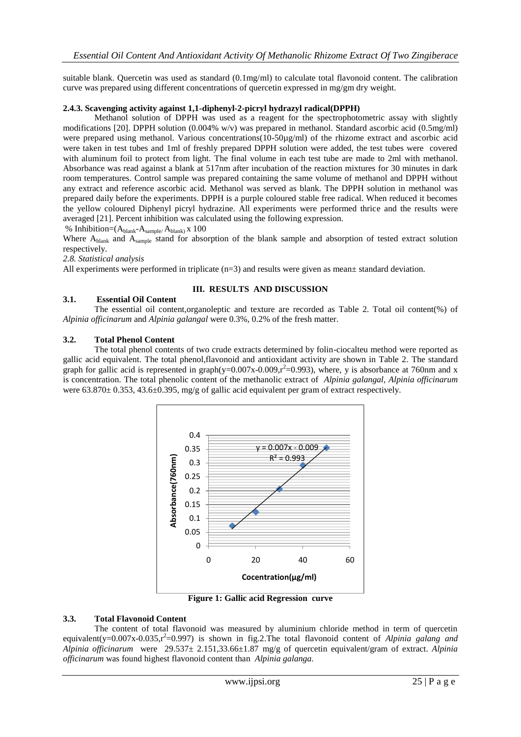suitable blank. Quercetin was used as standard (0.1mg/ml) to calculate total flavonoid content. The calibration curve was prepared using different concentrations of quercetin expressed in mg/gm dry weight.

#### **2.4.3. Scavenging activity against 1,1-diphenyl-2-picryl hydrazyl radical(DPPH)**

Methanol solution of DPPH was used as a reagent for the spectrophotometric assay with slightly modifications [20]. DPPH solution (0.004% w/v) was prepared in methanol. Standard ascorbic acid (0.5mg/ml) were prepared using methanol. Various concentrations(10-50µg/ml) of the rhizome extract and ascorbic acid were taken in test tubes and 1ml of freshly prepared DPPH solution were added, the test tubes were covered with aluminum foil to protect from light. The final volume in each test tube are made to 2ml with methanol. Absorbance was read against a blank at 517nm after incubation of the reaction mixtures for 30 minutes in dark room temperatures. Control sample was prepared containing the same volume of methanol and DPPH without any extract and reference ascorbic acid. Methanol was served as blank. The DPPH solution in methanol was prepared daily before the experiments. DPPH is a purple coloured stable free radical. When reduced it becomes the yellow coloured Diphenyl picryl hydrazine. All experiments were performed thrice and the results were averaged [21]. Percent inhibition was calculated using the following expression.

% Inhibition= $(A_{blank} - A_{sample}/ A_{blank})$  x 100

Where A<sub>blank</sub> and A<sub>sample</sub> stand for absorption of the blank sample and absorption of tested extract solution respectively.

*2.8. Statistical analysis*

All experiments were performed in triplicate  $(n=3)$  and results were given as mean $\pm$  standard deviation.

#### **III. RESULTS AND DISCUSSION**

#### **3.1. Essential Oil Content**

The essential oil content,organoleptic and texture are recorded as Table 2. Total oil content(%) of *Alpinia officinarum* and *Alpinia galangal* were 0.3%, 0.2% of the fresh matter.

#### **3.2. Total Phenol Content**

The total phenol contents of two crude extracts determined by folin-ciocalteu method were reported as gallic acid equivalent. The total phenol,flavonoid and antioxidant activity are shown in Table 2. The standard graph for gallic acid is represented in graph(y=0.007x-0.009, $r^2$ =0.993), where, y is absorbance at 760nm and x is concentration. The total phenolic content of the methanolic extract of *Alpinia galangal, Alpinia officinarum*  were  $63.870 \pm 0.353$ ,  $43.6 \pm 0.395$ , mg/g of gallic acid equivalent per gram of extract respectively.



**Figure 1: Gallic acid Regression curve**

#### **3.3. Total Flavonoid Content**

The content of total flavonoid was measured by aluminium chloride method in term of quercetin equivalent(y= $0.007x-0.035$ , $r^2$ = $0.997$ ) is shown in fig.2. The total flavonoid content of *Alpinia galang and Alpinia officinarum* were 29.537± 2.151,33.66±1.87 mg/g of quercetin equivalent/gram of extract. *Alpinia officinarum* was found highest flavonoid content than *Alpinia galanga.*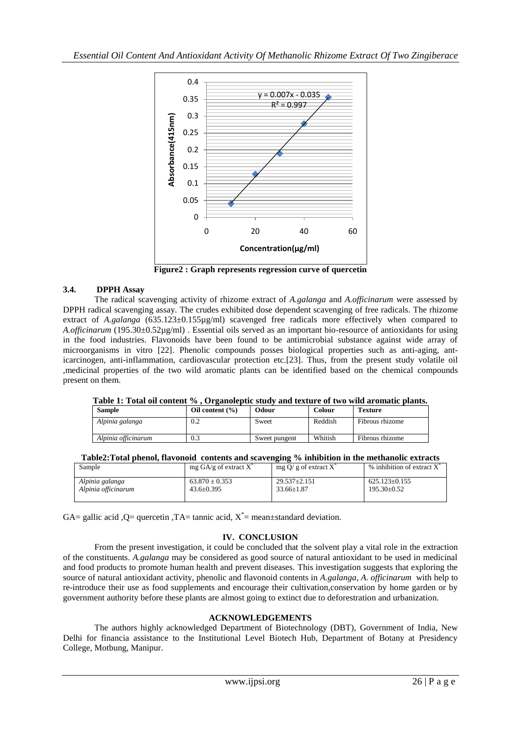

**Figure2 : Graph represents regression curve of quercetin**

# **3.4. DPPH Assay**

The radical scavenging activity of rhizome extract of *A.galanga* and *A.officinarum* were assessed by DPPH radical scavenging assay. The crudes exhibited dose dependent scavenging of free radicals. The rhizome extract of *A.galanga* (635.123±0.155µg/ml) scavenged free radicals more effectively when compared to *A.officinarum* (195.30±0.52µg/ml) . Essential oils served as an important bio-resource of antioxidants for using in the food industries. Flavonoids have been found to be antimicrobial substance against wide array of microorganisms in vitro [22]. Phenolic compounds posses biological properties such as anti-aging, anticarcinogen, anti-inflammation, cardiovascular protection etc.[23]. Thus, from the present study volatile oil ,medicinal properties of the two wild aromatic plants can be identified based on the chemical compounds present on them.

| Table 1: Total oil content %, Organoleptic study and texture of two wild aromatic plants. |                     |               |               |                 |  |  |  |
|-------------------------------------------------------------------------------------------|---------------------|---------------|---------------|-----------------|--|--|--|
| <b>Sample</b>                                                                             | Oil content $(\% )$ | Odour         | <b>Colour</b> | <b>Texture</b>  |  |  |  |
| Alpinia galanga                                                                           | 0.2                 | Sweet         | Reddish       | Fibrous rhizome |  |  |  |
| Alpinia officinarum                                                                       | 0.3                 | Sweet pungent | Whitish       | Fibrous rhizome |  |  |  |

**Table 1: Total oil content % , Organoleptic study and texture of two wild aromatic plants.**

|  | Table2:Total phenol, flavonoid contents and scavenging % inhibition in the methanolic extracts |  |  |  |  |  |  |  |
|--|------------------------------------------------------------------------------------------------|--|--|--|--|--|--|--|
|--|------------------------------------------------------------------------------------------------|--|--|--|--|--|--|--|

| Sample              | mg $GA/g$ of extract $X^*$ | mg O/ g of extract $X^*$ | $%$ inhibition of extract X <sup><math>*</math></sup> |
|---------------------|----------------------------|--------------------------|-------------------------------------------------------|
| Alpinia galanga     | $63.870 \pm 0.353$         | $29.537 \pm 2.151$       | $625.123 \pm 0.155$                                   |
| Alpinia officinarum | $43.6 \pm 0.395$           | $33.66 \pm 1.87$         | $195.30 + 0.52$                                       |

GA= gallic acid, Q= quercetin, TA= tannic acid,  $X^*$ = mean $\pm$ standard deviation.

# **IV. CONCLUSION**

From the present investigation, it could be concluded that the solvent play a vital role in the extraction of the constituents. *A.galanga* may be considered as good source of natural antioxidant to be used in medicinal and food products to promote human health and prevent diseases. This investigation suggests that exploring the source of natural antioxidant activity, phenolic and flavonoid contents in *A.galanga, A. officinarum* with help to re-introduce their use as food supplements and encourage their cultivation,conservation by home garden or by government authority before these plants are almost going to extinct due to deforestration and urbanization.

# **ACKNOWLEDGEMENTS**

The authors highly acknowledged Department of Biotechnology (DBT), Government of India, New Delhi for financia assistance to the Institutional Level Biotech Hub, Department of Botany at Presidency College, Motbung, Manipur.